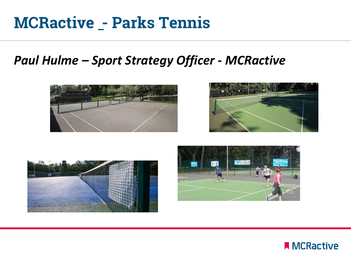### **MCRactive \_- Parks Tennis**

#### *Paul Hulme – Sport Strategy Officer - MCRactive*









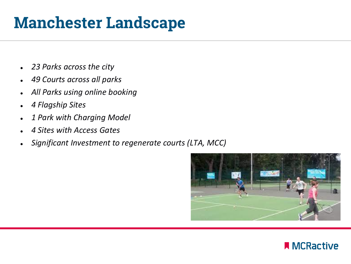# **Manchester Landscape**

- *23 Parks across the city*
- *49 Courts across all parks*
- *All Parks using online booking*
- *4 Flagship Sites*
- *1 Park with Charging Model*
- *4 Sites with Access Gates*
- Significant Investment to regenerate courts (LTA, MCC)



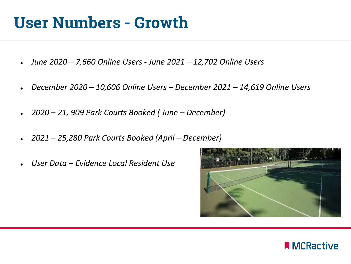### **User Numbers - Growth**

- *June 2020 – 7,660 Online Users - June 2021 – 12,702 Online Users*
- *December 2020 – 10,606 Online Users – December 2021 – 14,619 Online Users*
- *2020 – 21, 909 Park Courts Booked ( June – December)*
- *2021 – 25,280 Park Courts Booked (April – December)*
- *User Data – Evidence Local Resident Use*



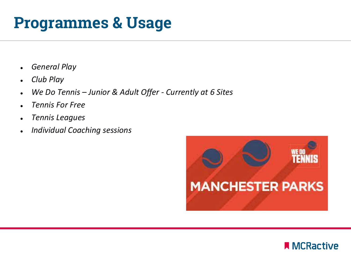### **Programmes & Usage**

- *General Play*
- *Club Play*
- *We Do Tennis – Junior & Adult Offer - Currently at 6 Sites*
- *Tennis For Free*
- *Tennis Leagues*
- *Individual Coaching sessions*



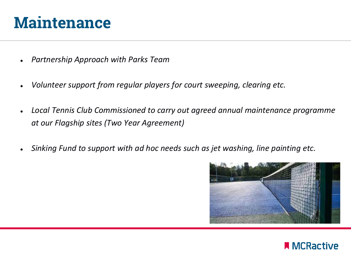#### **Maintenance**

- **Partnership Approach with Parks Team**
- *Volunteer support from regular players for court sweeping, clearing etc.*
- Local Tennis Club Commissioned to carry out agreed annual maintenance programme *at our Flagship sites (Two Year Agreement)*
- *Sinking Fund to support with ad hoc needs such as jet washing, line painting etc.*



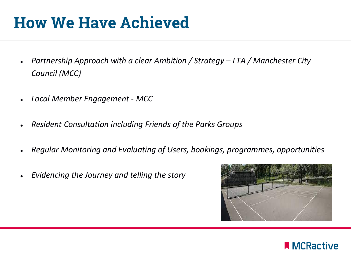## **How We Have Achieved**

- *Partnership Approach with a clear Ambition / Strategy – LTA / Manchester City Council (MCC)*
- *Local Member Engagement - MCC*
- *Resident Consultation including Friends of the Parks Groups*
- *Regular Monitoring and Evaluating of Users, bookings, programmes, opportunities*
- *Evidencing the Journey and telling the story*